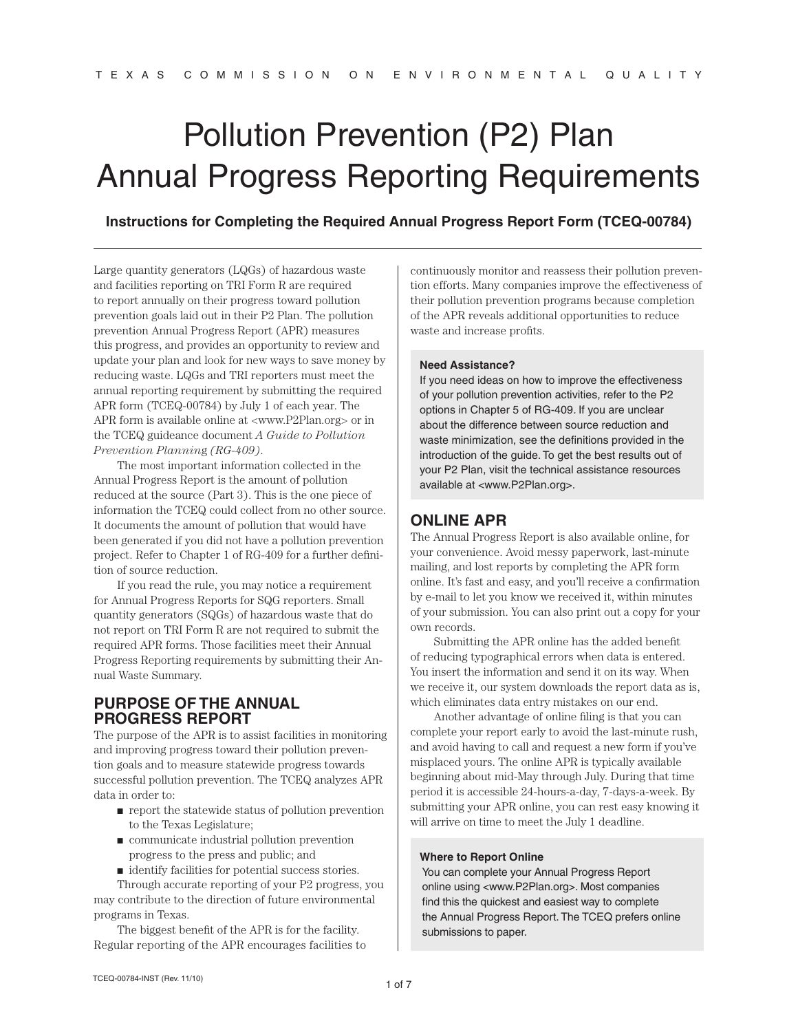# Pollution Prevention (P2) Plan Annual Progress Reporting Requirements

**Instructions for Completing the Required Annual Progress Report Form (TCEQ-00784)**

Large quantity generators (LQGs) of hazardous waste and facilities reporting on TRI Form R are required to report annually on their progress toward pollution prevention goals laid out in their P2 Plan. The pollution prevention Annual Progress Report (APR) measures this progress, and provides an opportunity to review and update your plan and look for new ways to save money by reducing waste. LQGs and TRI reporters must meet the annual reporting requirement by submitting the required APR form (TCEQ-00784) by July 1 of each year. The APR form is available online at <www.P2Plan.org> or in the TCEQ guideance document *A Guide to Pollution Prevention Plannin*g *(RG-409)*.

The most important information collected in the Annual Progress Report is the amount of pollution reduced at the source (Part 3). This is the one piece of information the TCEQ could collect from no other source. It documents the amount of pollution that would have been generated if you did not have a pollution prevention project. Refer to Chapter 1 of RG-409 for a further definition of source reduction.

If you read the rule, you may notice a requirement for Annual Progress Reports for SQG reporters. Small quantity generators (SQGs) of hazardous waste that do not report on TRI Form R are not required to submit the required APR forms. Those facilities meet their Annual Progress Reporting requirements by submitting their Annual Waste Summary.

# **Purpose of the Annual Progress Report**

The purpose of the APR is to assist facilities in monitoring and improving progress toward their pollution prevention goals and to measure statewide progress towards successful pollution prevention. The TCEQ analyzes APR data in order to:

- report the statewide status of pollution prevention to the Texas Legislature;
- communicate industrial pollution prevention progress to the press and public; and
- identify facilities for potential success stories.

Through accurate reporting of your P2 progress, you may contribute to the direction of future environmental programs in Texas.

The biggest benefit of the APR is for the facility. Regular reporting of the APR encourages facilities to continuously monitor and reassess their pollution prevention efforts. Many companies improve the effectiveness of their pollution prevention programs because completion of the APR reveals additional opportunities to reduce waste and increase profits.

#### **Need Assistance?**

If you need ideas on how to improve the effectiveness of your pollution prevention activities, refer to the P2 options in Chapter 5 of RG-409*.* If you are unclear about the difference between source reduction and waste minimization, see the definitions provided in the introduction of the guide. To get the best results out of your P2 Plan, visit the technical assistance resources available at <www.P2Plan.org>.

# **Online APR**

The Annual Progress Report is also available online, for your convenience. Avoid messy paperwork, last-minute mailing, and lost reports by completing the APR form online. It's fast and easy, and you'll receive a confirmation by e-mail to let you know we received it, within minutes of your submission. You can also print out a copy for your own records.

Submitting the APR online has the added benefit of reducing typographical errors when data is entered. You insert the information and send it on its way. When we receive it, our system downloads the report data as is, which eliminates data entry mistakes on our end.

Another advantage of online filing is that you can complete your report early to avoid the last-minute rush, and avoid having to call and request a new form if you've misplaced yours. The online APR is typically available beginning about mid-May through July. During that time period it is accessible 24-hours-a-day, 7-days-a-week. By submitting your APR online, you can rest easy knowing it will arrive on time to meet the July 1 deadline.

#### **Where to Report Online**

You can complete your Annual Progress Report online using <www.P2Plan.org>. Most companies find this the quickest and easiest way to complete the Annual Progress Report. The TCEQ prefers online submissions to paper.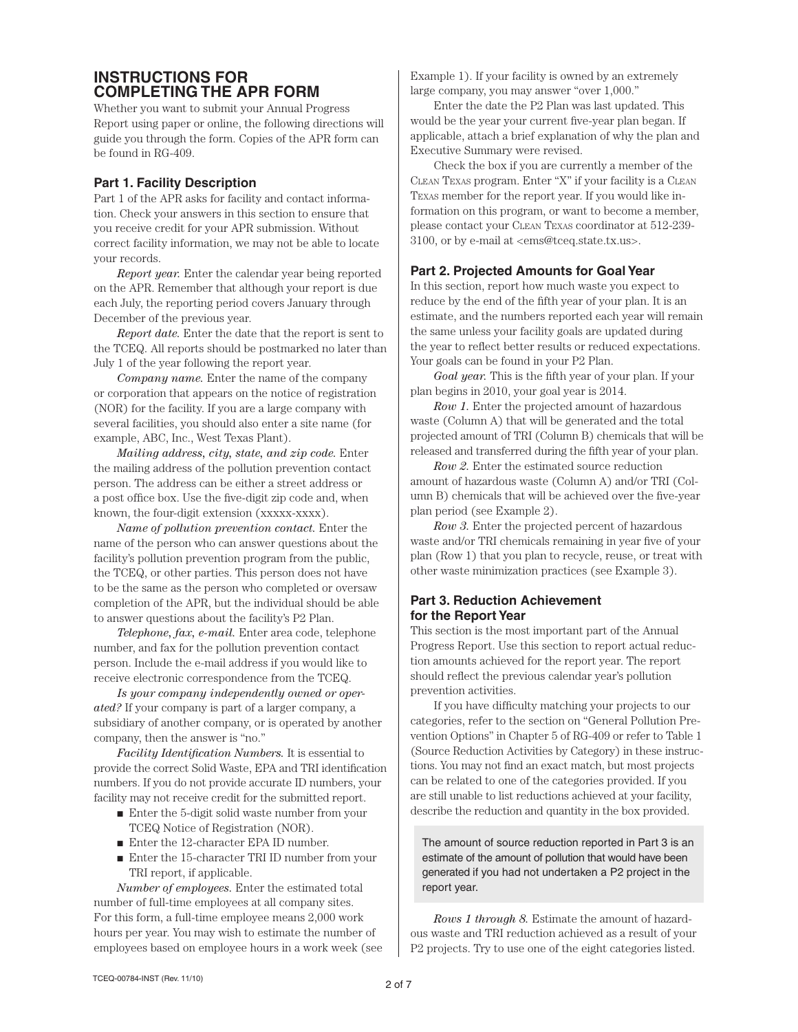# **INSTRUCTIONS FOR<br>COMPLETING THE APR FORM**

Whether you want to submit your Annual Progress Report using paper or online, the following directions will guide you through the form. Copies of the APR form can be found in RG-409.

## **Part 1. Facility Description**

Part 1 of the APR asks for facility and contact information. Check your answers in this section to ensure that you receive credit for your APR submission. Without correct facility information, we may not be able to locate your records.

*Report year.* Enter the calendar year being reported on the APR. Remember that although your report is due each July, the reporting period covers January through December of the previous year.

*Report date.* Enter the date that the report is sent to the TCEQ. All reports should be postmarked no later than July 1 of the year following the report year.

*Company name.* Enter the name of the company or corporation that appears on the notice of registration (NOR) for the facility. If you are a large company with several facilities, you should also enter a site name (for example, ABC, Inc., West Texas Plant).

*Mailing address, city, state, and zip code.* Enter the mailing address of the pollution prevention contact person. The address can be either a street address or a post office box. Use the five-digit zip code and, when known, the four-digit extension (xxxxx-xxxx).

*Name of pollution prevention contact.* Enter the name of the person who can answer questions about the facility's pollution prevention program from the public, the TCEQ, or other parties. This person does not have to be the same as the person who completed or oversaw completion of the APR, but the individual should be able to answer questions about the facility's P2 Plan.

*Telephone, fax, e-mail.* Enter area code, telephone number, and fax for the pollution prevention contact person. Include the e-mail address if you would like to receive electronic correspondence from the TCEQ.

*Is your company independently owned or operated?* If your company is part of a larger company, a subsidiary of another company, or is operated by another company, then the answer is "no."

*Facility Identification Numbers.* It is essential to provide the correct Solid Waste, EPA and TRI identification numbers. If you do not provide accurate ID numbers, your facility may not receive credit for the submitted report.

- Enter the 5-digit solid waste number from your TCEQ Notice of Registration (NOR).
- Enter the 12-character EPA ID number.
- Enter the 15-character TRI ID number from your TRI report, if applicable.

*Number of employees.* Enter the estimated total number of full-time employees at all company sites. For this form, a full-time employee means 2,000 work hours per year. You may wish to estimate the number of employees based on employee hours in a work week (see Example 1). If your facility is owned by an extremely large company, you may answer "over 1,000."

Enter the date the P2 Plan was last updated. This would be the year your current five-year plan began. If applicable, attach a brief explanation of why the plan and Executive Summary were revised.

Check the box if you are currently a member of the Clean Texas program. Enter "X" if your facility is a Clean Texas member for the report year. If you would like information on this program, or want to become a member, please contact your Clean Texas coordinator at 512-239- 3100, or by e-mail at <ems@tceq.state.tx.us>.

## **Part 2. Projected Amounts for Goal Year**

In this section, report how much waste you expect to reduce by the end of the fifth year of your plan. It is an estimate, and the numbers reported each year will remain the same unless your facility goals are updated during the year to reflect better results or reduced expectations. Your goals can be found in your P2 Plan.

*Goal year.* This is the fifth year of your plan. If your plan begins in 2010, your goal year is 2014.

*Row 1.* Enter the projected amount of hazardous waste (Column A) that will be generated and the total projected amount of TRI (Column B) chemicals that will be released and transferred during the fifth year of your plan.

*Row 2.* Enter the estimated source reduction amount of hazardous waste (Column A) and/or TRI (Column B) chemicals that will be achieved over the five-year plan period (see Example 2).

*Row 3.* Enter the projected percent of hazardous waste and/or TRI chemicals remaining in year five of your plan (Row 1) that you plan to recycle, reuse, or treat with other waste minimization practices (see Example 3).

# **Part 3. Reduction Achievement for the Report Year**

This section is the most important part of the Annual Progress Report. Use this section to report actual reduction amounts achieved for the report year. The report should reflect the previous calendar year's pollution prevention activities.

If you have difficulty matching your projects to our categories, refer to the section on "General Pollution Prevention Options" in Chapter 5 of RG-409 or refer to Table 1 (Source Reduction Activities by Category) in these instructions. You may not find an exact match, but most projects can be related to one of the categories provided. If you are still unable to list reductions achieved at your facility, describe the reduction and quantity in the box provided.

The amount of source reduction reported in Part 3 is an estimate of the amount of pollution that would have been generated if you had not undertaken a P2 project in the report year.

*Rows 1 through 8.* Estimate the amount of hazardous waste and TRI reduction achieved as a result of your P2 projects. Try to use one of the eight categories listed.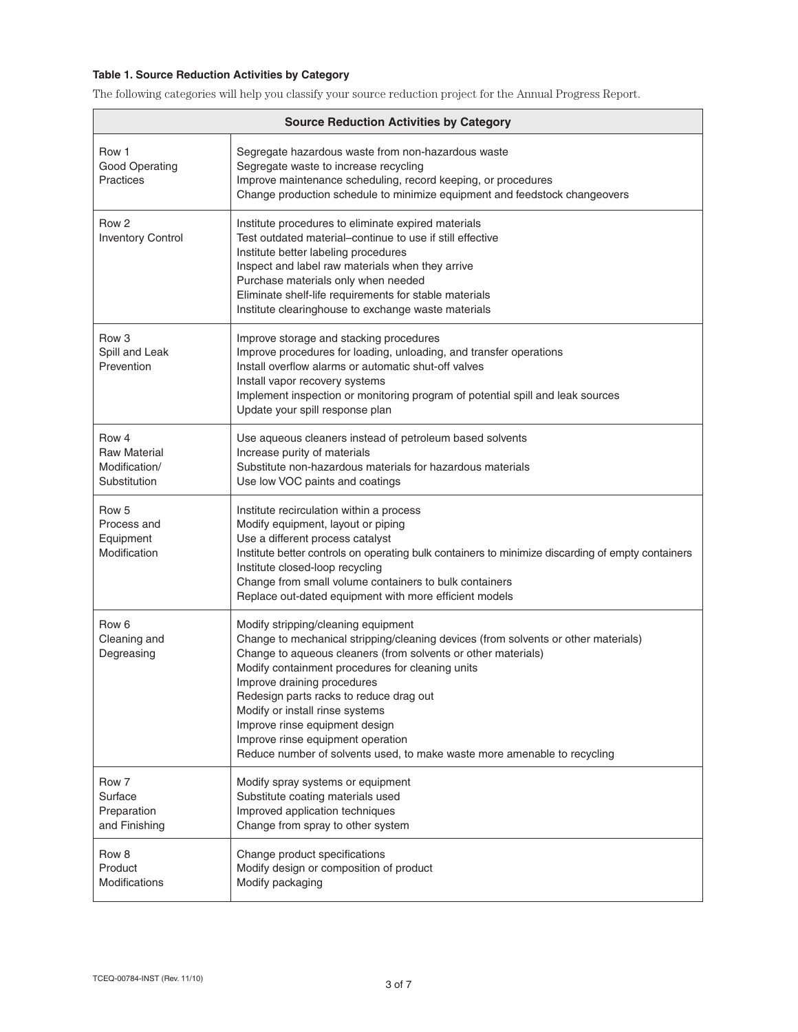## **Table 1. Source Reduction Activities by Category**

The following categories will help you classify your source reduction project for the Annual Progress Report.

| <b>Source Reduction Activities by Category</b>                |                                                                                                                                                                                                                                                                                                                                                                                                                                                                                                                |  |
|---------------------------------------------------------------|----------------------------------------------------------------------------------------------------------------------------------------------------------------------------------------------------------------------------------------------------------------------------------------------------------------------------------------------------------------------------------------------------------------------------------------------------------------------------------------------------------------|--|
| Row 1<br><b>Good Operating</b><br>Practices                   | Segregate hazardous waste from non-hazardous waste<br>Segregate waste to increase recycling<br>Improve maintenance scheduling, record keeping, or procedures<br>Change production schedule to minimize equipment and feedstock changeovers                                                                                                                                                                                                                                                                     |  |
| Row <sub>2</sub><br><b>Inventory Control</b>                  | Institute procedures to eliminate expired materials<br>Test outdated material-continue to use if still effective<br>Institute better labeling procedures<br>Inspect and label raw materials when they arrive<br>Purchase materials only when needed<br>Eliminate shelf-life requirements for stable materials<br>Institute clearinghouse to exchange waste materials                                                                                                                                           |  |
| Row <sub>3</sub><br>Spill and Leak<br>Prevention              | Improve storage and stacking procedures<br>Improve procedures for loading, unloading, and transfer operations<br>Install overflow alarms or automatic shut-off valves<br>Install vapor recovery systems<br>Implement inspection or monitoring program of potential spill and leak sources<br>Update your spill response plan                                                                                                                                                                                   |  |
| Row 4<br><b>Raw Material</b><br>Modification/<br>Substitution | Use aqueous cleaners instead of petroleum based solvents<br>Increase purity of materials<br>Substitute non-hazardous materials for hazardous materials<br>Use low VOC paints and coatings                                                                                                                                                                                                                                                                                                                      |  |
| Row 5<br>Process and<br>Equipment<br>Modification             | Institute recirculation within a process<br>Modify equipment, layout or piping<br>Use a different process catalyst<br>Institute better controls on operating bulk containers to minimize discarding of empty containers<br>Institute closed-loop recycling<br>Change from small volume containers to bulk containers<br>Replace out-dated equipment with more efficient models                                                                                                                                 |  |
| Row <sub>6</sub><br>Cleaning and<br>Degreasing                | Modify stripping/cleaning equipment<br>Change to mechanical stripping/cleaning devices (from solvents or other materials)<br>Change to aqueous cleaners (from solvents or other materials)<br>Modify containment procedures for cleaning units<br>Improve draining procedures<br>Redesign parts racks to reduce drag out<br>Modify or install rinse systems<br>Improve rinse equipment design<br>Improve rinse equipment operation<br>Reduce number of solvents used, to make waste more amenable to recycling |  |
| Row 7<br>Surface<br>Preparation<br>and Finishing              | Modify spray systems or equipment<br>Substitute coating materials used<br>Improved application techniques<br>Change from spray to other system                                                                                                                                                                                                                                                                                                                                                                 |  |
| Row 8<br>Product<br><b>Modifications</b>                      | Change product specifications<br>Modify design or composition of product<br>Modify packaging                                                                                                                                                                                                                                                                                                                                                                                                                   |  |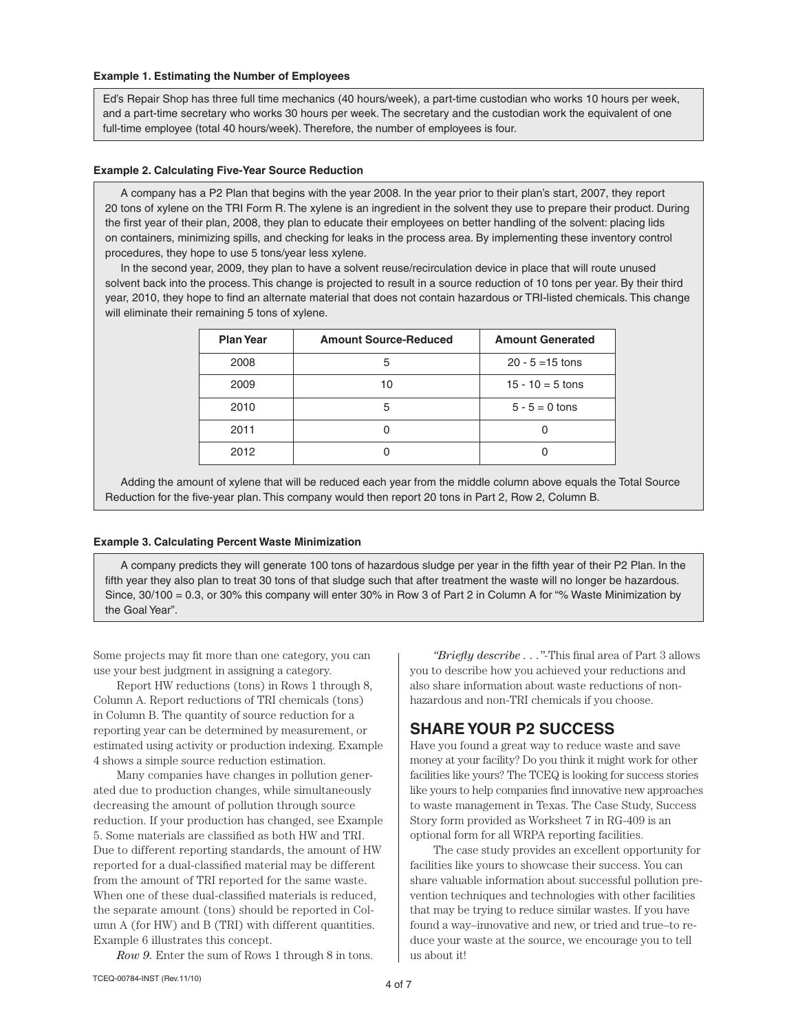#### **Example 1. Estimating the Number of Employees**

Ed's Repair Shop has three full time mechanics (40 hours/week), a part-time custodian who works 10 hours per week, and a part-time secretary who works 30 hours per week. The secretary and the custodian work the equivalent of one full-time employee (total 40 hours/week). Therefore, the number of employees is four.

#### **Example 2. Calculating Five-Year Source Reduction**

 A company has a P2 Plan that begins with the year 2008. In the year prior to their plan's start, 2007, they report 20 tons of xylene on the TRI Form R. The xylene is an ingredient in the solvent they use to prepare their product. During the first year of their plan, 2008, they plan to educate their employees on better handling of the solvent: placing lids on containers, minimizing spills, and checking for leaks in the process area. By implementing these inventory control procedures, they hope to use 5 tons/year less xylene.

 In the second year, 2009, they plan to have a solvent reuse/recirculation device in place that will route unused solvent back into the process. This change is projected to result in a source reduction of 10 tons per year. By their third year, 2010, they hope to find an alternate material that does not contain hazardous or TRI-listed chemicals. This change will eliminate their remaining 5 tons of xylene.

| <b>Plan Year</b> | <b>Amount Source-Reduced</b> | <b>Amount Generated</b> |
|------------------|------------------------------|-------------------------|
| 2008             | 5                            | $20 - 5 = 15$ tons      |
| 2009             | 10                           | $15 - 10 = 5$ tons      |
| 2010             | 5                            | $5 - 5 = 0$ tons        |
| 2011             |                              |                         |
| 2012             |                              |                         |

 Adding the amount of xylene that will be reduced each year from the middle column above equals the Total Source Reduction for the five-year plan. This company would then report 20 tons in Part 2, Row 2, Column B.

#### **Example 3. Calculating Percent Waste Minimization**

 A company predicts they will generate 100 tons of hazardous sludge per year in the fifth year of their P2 Plan. In the fifth year they also plan to treat 30 tons of that sludge such that after treatment the waste will no longer be hazardous. Since, 30/100 = 0.3, or 30% this company will enter 30% in Row 3 of Part 2 in Column A for "% Waste Minimization by the Goal Year".

Some projects may fit more than one category, you can use your best judgment in assigning a category.

Report HW reductions (tons) in Rows 1 through 8, Column A. Report reductions of TRI chemicals (tons) in Column B. The quantity of source reduction for a reporting year can be determined by measurement, or estimated using activity or production indexing. Example 4 shows a simple source reduction estimation.

Many companies have changes in pollution generated due to production changes, while simultaneously decreasing the amount of pollution through source reduction. If your production has changed, see Example 5. Some materials are classified as both HW and TRI. Due to different reporting standards, the amount of HW reported for a dual-classified material may be different from the amount of TRI reported for the same waste. When one of these dual-classified materials is reduced, the separate amount (tons) should be reported in Column A (for HW) and B (TRI) with different quantities. Example 6 illustrates this concept.

*Row 9.* Enter the sum of Rows 1 through 8 in tons.

*"Briefly describe . . ."*-This final area of Part 3 allows you to describe how you achieved your reductions and also share information about waste reductions of nonhazardous and non-TRI chemicals if you choose.

# **Share Your P2 Success**

Have you found a great way to reduce waste and save money at your facility? Do you think it might work for other facilities like yours? The TCEQ is looking for success stories like yours to help companies find innovative new approaches to waste management in Texas. The Case Study, Success Story form provided as Worksheet 7 in RG-409 is an optional form for all WRPA reporting facilities.

The case study provides an excellent opportunity for facilities like yours to showcase their success. You can share valuable information about successful pollution prevention techniques and technologies with other facilities that may be trying to reduce similar wastes. If you have found a way–innovative and new, or tried and true–to reduce your waste at the source, we encourage you to tell us about it!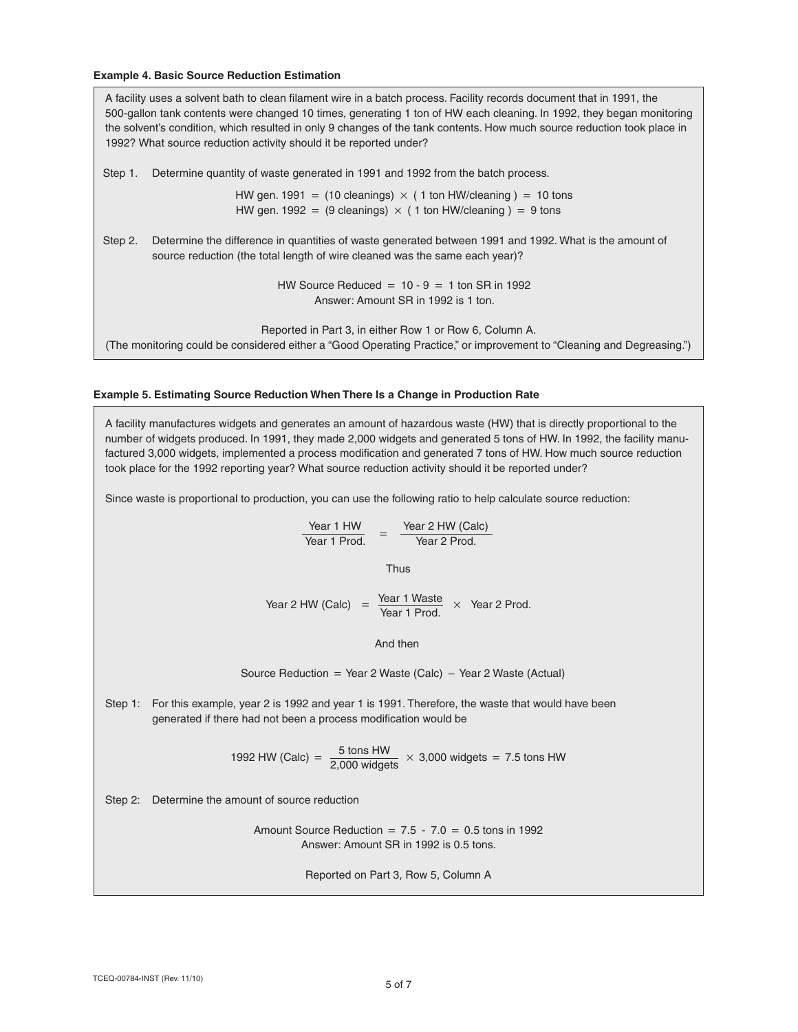#### **Example 4. Basic Source Reduction Estimation**

A facility uses a solvent bath to clean filament wire in a batch process. Facility records document that in 1991, the 500-gallon tank contents were changed 10 times, generating 1 ton of HW each cleaning. In 1992, they began monitoring the solvent's condition, which resulted in only 9 changes of the tank contents. How much source reduction took place in 1992? What source reduction activity should it be reported under?

Step 1. Determine quantity of waste generated in 1991 and 1992 from the batch process.

HW gen. 1991 = (10 cleanings)  $\times$  (1 ton HW/cleaning) = 10 tons HW gen. 1992 = (9 cleanings)  $\times$  (1 ton HW/cleaning) = 9 tons

Step 2. Determine the difference in quantities of waste generated between 1991 and 1992. What is the amount of source reduction (the total length of wire cleaned was the same each year)?

> HW Source Reduced =  $10 - 9 = 1$  ton SR in 1992 Answer: Amount SR in 1992 is 1 ton.

Reported in Part 3, in either Row 1 or Row 6, Column A. (The monitoring could be considered either a "Good Operating Practice," or improvement to "Cleaning and Degreasing.")

#### **Example 5. Estimating Source Reduction When There Is a Change in Production Rate**

A facility manufactures widgets and generates an amount of hazardous waste (HW) that is directly proportional to the number of widgets produced. In 1991, they made 2,000 widgets and generated 5 tons of HW. In 1992, the facility manufactured 3,000 widgets, implemented a process modification and generated 7 tons of HW. How much source reduction took place for the 1992 reporting year? What source reduction activity should it be reported under?

Since waste is proportional to production, you can use the following ratio to help calculate source reduction:

$$
\frac{\text{Year 1 HW}}{\text{Year 1 Prod.}} = \frac{\text{Year 2 HW (Calc)}}{\text{Year 2 Prod.}}
$$

Thus

Year 1 Waste Year 2 HW (Calc) =  $\frac{1 - \tan t}{\tan t}$  Year 2 Prod.

And then

Source Reduction = Year 2 Waste (Calc) – Year 2 Waste (Actual)

Step 1: For this example, year 2 is 1992 and year 1 is 1991. Therefore, the waste that would have been generated if there had not been a process modification would be

1992 HW (Calc) =  $\frac{5 \text{ tons HW}}{2,000 \text{ widgets}} \times 3,000 \text{ widgets} = 7.5 \text{ tons HW}$ 

Step 2: Determine the amount of source reduction

Amount Source Reduction =  $7.5 - 7.0 = 0.5$  tons in 1992 Answer: Amount SR in 1992 is 0.5 tons.

Reported on Part 3, Row 5, Column A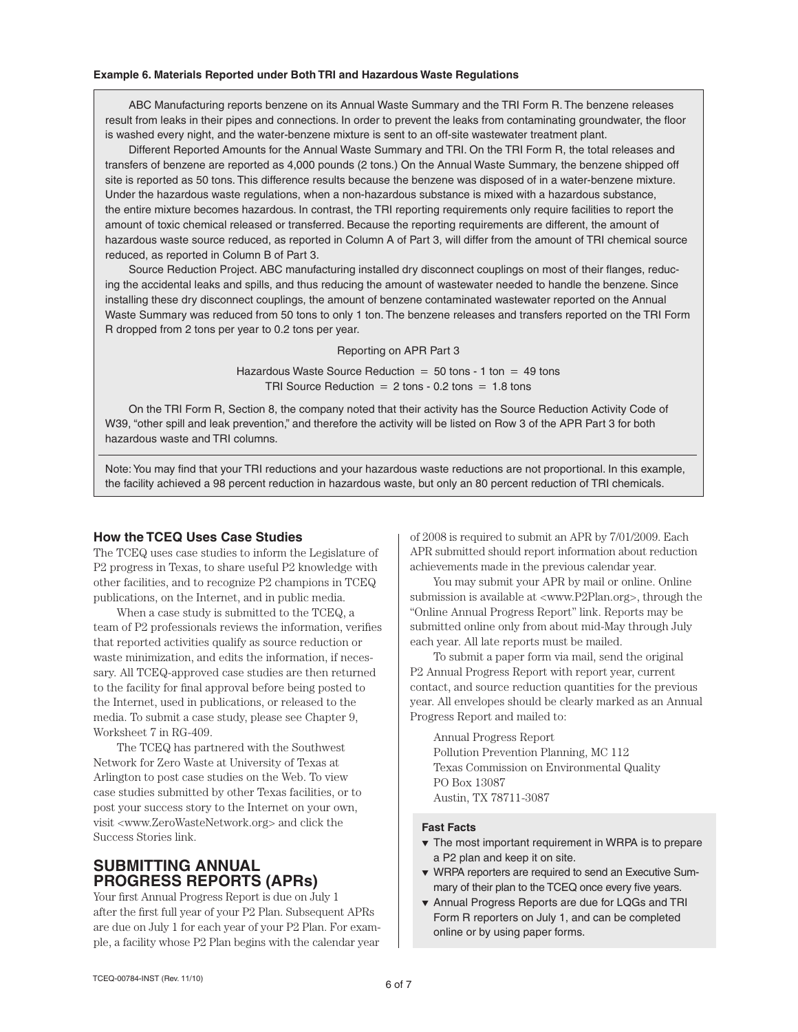#### **Example 6. Materials Reported under Both TRI and Hazardous Waste Regulations**

ABC Manufacturing reports benzene on its Annual Waste Summary and the TRI Form R. The benzene releases result from leaks in their pipes and connections. In order to prevent the leaks from contaminating groundwater, the floor is washed every night, and the water-benzene mixture is sent to an off-site wastewater treatment plant.

Different Reported Amounts for the Annual Waste Summary and TRI. On the TRI Form R, the total releases and transfers of benzene are reported as 4,000 pounds (2 tons.) On the Annual Waste Summary, the benzene shipped off site is reported as 50 tons. This difference results because the benzene was disposed of in a water-benzene mixture. Under the hazardous waste regulations, when a non-hazardous substance is mixed with a hazardous substance, the entire mixture becomes hazardous. In contrast, the TRI reporting requirements only require facilities to report the amount of toxic chemical released or transferred. Because the reporting requirements are different, the amount of hazardous waste source reduced, as reported in Column A of Part 3, will differ from the amount of TRI chemical source reduced, as reported in Column B of Part 3.

Source Reduction Project. ABC manufacturing installed dry disconnect couplings on most of their flanges, reducing the accidental leaks and spills, and thus reducing the amount of wastewater needed to handle the benzene. Since installing these dry disconnect couplings, the amount of benzene contaminated wastewater reported on the Annual Waste Summary was reduced from 50 tons to only 1 ton. The benzene releases and transfers reported on the TRI Form R dropped from 2 tons per year to 0.2 tons per year.

### Reporting on APR Part 3

Hazardous Waste Source Reduction  $= 50$  tons - 1 ton  $= 49$  tons TRI Source Reduction  $= 2$  tons - 0.2 tons  $= 1.8$  tons

On the TRI Form R, Section 8, the company noted that their activity has the Source Reduction Activity Code of W39, "other spill and leak prevention," and therefore the activity will be listed on Row 3 of the APR Part 3 for both hazardous waste and TRI columns.

Note: You may find that your TRI reductions and your hazardous waste reductions are not proportional. In this example, the facility achieved a 98 percent reduction in hazardous waste, but only an 80 percent reduction of TRI chemicals.

### **How the TCEQ Uses Case Studies**

The TCEQ uses case studies to inform the Legislature of P2 progress in Texas, to share useful P2 knowledge with other facilities, and to recognize P2 champions in TCEQ publications, on the Internet, and in public media.

When a case study is submitted to the TCEQ, a team of P2 professionals reviews the information, verifies that reported activities qualify as source reduction or waste minimization, and edits the information, if necessary. All TCEQ-approved case studies are then returned to the facility for final approval before being posted to the Internet, used in publications, or released to the media. To submit a case study, please see Chapter 9, Worksheet 7 in RG-409.

The TCEQ has partnered with the Southwest Network for Zero Waste at University of Texas at Arlington to post case studies on the Web. To view case studies submitted by other Texas facilities, or to post your success story to the Internet on your own, visit <www.ZeroWasteNetwork.org> and click the Success Stories link.

# **Submitting Annual Progress Reports (APRs)**

Your first Annual Progress Report is due on July 1 after the first full year of your P2 Plan. Subsequent APRs are due on July 1 for each year of your P2 Plan. For example, a facility whose P2 Plan begins with the calendar year

of 2008 is required to submit an APR by 7/01/2009. Each APR submitted should report information about reduction achievements made in the previous calendar year.

You may submit your APR by mail or online. Online submission is available at <www.P2Plan.org>, through the "Online Annual Progress Report" link. Reports may be submitted online only from about mid-May through July each year. All late reports must be mailed.

To submit a paper form via mail, send the original P2 Annual Progress Report with report year, current contact, and source reduction quantities for the previous year. All envelopes should be clearly marked as an Annual Progress Report and mailed to:

Annual Progress Report Pollution Prevention Planning, MC 112 Texas Commission on Environmental Quality PO Box 13087 Austin, TX 78711-3087

#### **Fast Facts**

- $\blacktriangledown$  The most important requirement in WRPA is to prepare a P2 plan and keep it on site.
- **v** WRPA reporters are required to send an Executive Summary of their plan to the TCEQ once every five years.
- $\bullet$  Annual Progress Reports are due for LQGs and TRI Form R reporters on July 1, and can be completed online or by using paper forms.